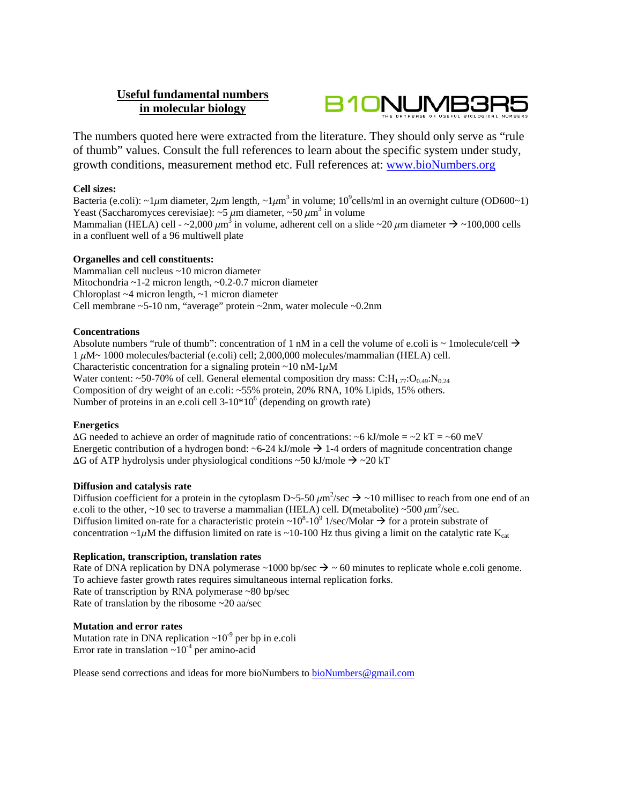# **Useful fundamental numbers in molecular biology**



The numbers quoted here were extracted from the literature. They should only serve as "rule of thumb" values. Consult the full references to learn about the specific system under study, growth conditions, measurement method etc. Full references at: www.bioNumbers.org

# **Cell sizes:**

Bacteria (e.coli): ~1 $\mu$ m diameter, 2 $\mu$ m length, ~1 $\mu$ m<sup>3</sup> in volume; 10<sup>9</sup>cells/ml in an overnight culture (OD600~1) Yeast (Saccharomyces cerevisiae): ~5  $\mu$ m diameter, ~50  $\mu$ m<sup>3</sup> in volume Mammalian (HELA) cell - ~2,000  $\mu$ m<sup>3</sup> in volume, adherent cell on a slide ~20  $\mu$ m diameter  $\rightarrow$  ~100,000 cells in a confluent well of a 96 multiwell plate

### **Organelles and cell constituents:**

Mammalian cell nucleus ~10 micron diameter Mitochondria ~1-2 micron length, ~0.2-0.7 micron diameter Chloroplast ~4 micron length, ~1 micron diameter Cell membrane ~5-10 nm, "average" protein ~2nm, water molecule ~0.2nm

### **Concentrations**

Absolute numbers "rule of thumb": concentration of 1 nM in a cell the volume of e.coli is  $\sim$  1molecule/cell  $\rightarrow$  $1 \mu$ M~ 1000 molecules/bacterial (e.coli) cell; 2,000,000 molecules/mammalian (HELA) cell. Characteristic concentration for a signaling protein  $\sim$ 10 nM-1 $\mu$ M Water content: ~50-70% of cell. General elemental composition dry mass: C:H<sub>177</sub>:O<sub>0.49</sub>:N<sub>0.24</sub> Composition of dry weight of an e.coli: ~55% protein, 20% RNA, 10% Lipids, 15% others. Number of proteins in an e.coli cell  $3-10*10^6$  (depending on growth rate)

# **Energetics**

 $\Delta G$  needed to achieve an order of magnitude ratio of concentrations: ~6 kJ/mole = ~2 kT = ~60 meV Energetic contribution of a hydrogen bond:  $\sim$  6-24 kJ/mole  $\rightarrow$  1-4 orders of magnitude concentration change  $\Delta G$  of ATP hydrolysis under physiological conditions ~50 kJ/mole  $\rightarrow$  ~20 kT

### **Diffusion and catalysis rate**

Diffusion coefficient for a protein in the cytoplasm D~5-50  $\mu$ m<sup>2</sup>/sec  $\rightarrow$  ~10 millisec to reach from one end of an e.coli to the other, ~10 sec to traverse a mammalian (HELA) cell. D(metabolite) ~500  $\mu$ m<sup>2</sup>/sec. Diffusion limited on-rate for a characteristic protein ~10<sup>8</sup>-10<sup>9</sup> 1/sec/Molar  $\rightarrow$  for a protein substrate of concentration ~1 $\mu$ M the diffusion limited on rate is ~10-100 Hz thus giving a limit on the catalytic rate K<sub>cat</sub>

# **Replication, transcription, translation rates**

Rate of DNA replication by DNA polymerase  $\sim 1000$  bp/sec  $\rightarrow \sim 60$  minutes to replicate whole e.coli genome. To achieve faster growth rates requires simultaneous internal replication forks. Rate of transcription by RNA polymerase ~80 bp/sec Rate of translation by the ribosome ~20 aa/sec

#### **Mutation and error rates**

Mutation rate in DNA replication  $\sim 10^{-9}$  per bp in e.coli Error rate in translation  $\sim 10^{-4}$  per amino-acid

Please send corrections and ideas for more bioNumbers to bioNumbers@gmail.com